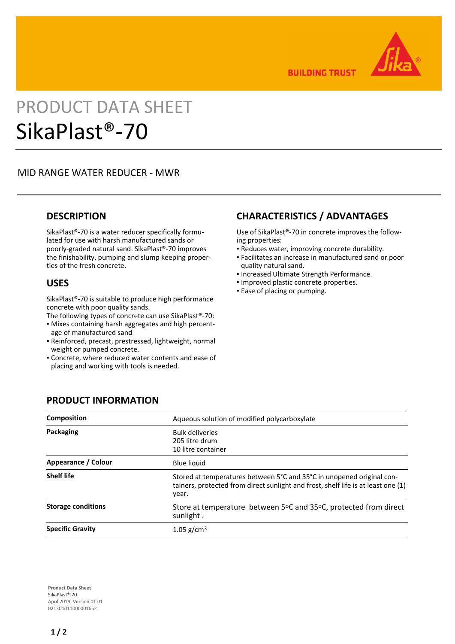

**BUILDING TRUST** 

# PRODUCT DATA SHEET SikaPlast®-70

## MID RANGE WATER REDUCER - MWR

## **DESCRIPTION**

SikaPlast®-70 is a water reducer specifically formulated for use with harsh manufactured sands or poorly-graded natural sand. SikaPlast®-70 improves the finishability, pumping and slump keeping properties of the fresh concrete.

### **USES**

SikaPlast®-70 is suitable to produce high performance concrete with poor quality sands.

The following types of concrete can use SikaPlast®-70:

- Mixes containing harsh aggregates and high percent-▪ age of manufactured sand
- Reinforced, precast, prestressed, lightweight, normal weight or pumped concrete.
- Concrete, where reduced water contents and ease of placing and working with tools is needed.

# **CHARACTERISTICS / ADVANTAGES**

Use of SikaPlast®-70 in concrete improves the following properties:

- Reduces water, improving concrete durability.
- Facilitates an increase in manufactured sand or poor quality natural sand.
- Increased Ultimate Strength Performance.
- Improved plastic concrete properties.
- Ease of placing or pumping.

| <b>Composition</b>        | Aqueous solution of modified polycarboxylate                                                                                                                        |
|---------------------------|---------------------------------------------------------------------------------------------------------------------------------------------------------------------|
| Packaging                 | <b>Bulk deliveries</b><br>205 litre drum<br>10 litre container                                                                                                      |
| Appearance / Colour       | <b>Blue liquid</b>                                                                                                                                                  |
| <b>Shelf life</b>         | Stored at temperatures between 5°C and 35°C in unopened original con-<br>tainers, protected from direct sunlight and frost, shelf life is at least one (1)<br>year. |
| <b>Storage conditions</b> | Store at temperature between 5°C and 35°C, protected from direct<br>sunlight.                                                                                       |
| <b>Specific Gravity</b>   | 1.05 g/cm <sup>3</sup>                                                                                                                                              |

**PRODUCT INFORMATION**

**Product Data Sheet** SikaPlast®-70 April 2019, Version 01.01 021301011000001652